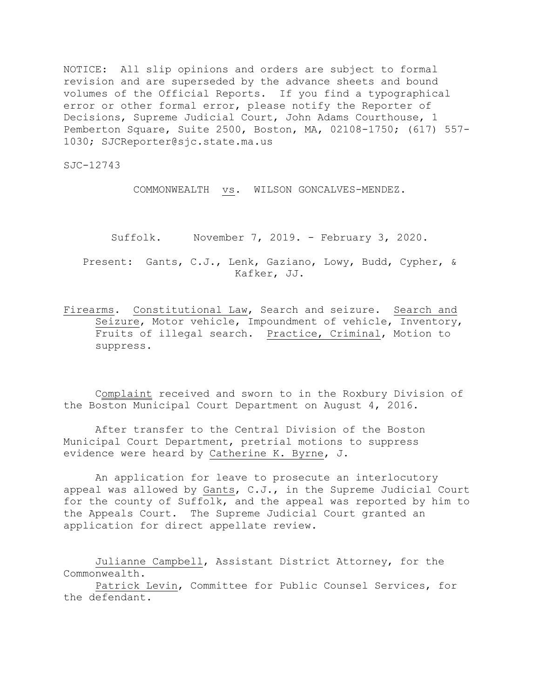NOTICE: All slip opinions and orders are subject to formal revision and are superseded by the advance sheets and bound volumes of the Official Reports. If you find a typographical error or other formal error, please notify the Reporter of Decisions, Supreme Judicial Court, John Adams Courthouse, 1 Pemberton Square, Suite 2500, Boston, MA, 02108-1750; (617) 557- 1030; SJCReporter@sjc.state.ma.us

SJC-12743

COMMONWEALTH vs. WILSON GONCALVES-MENDEZ.

Suffolk. November 7, 2019. - February 3, 2020.

Present: Gants, C.J., Lenk, Gaziano, Lowy, Budd, Cypher, & Kafker, JJ.

Firearms. Constitutional Law, Search and seizure. Search and Seizure, Motor vehicle, Impoundment of vehicle, Inventory, Fruits of illegal search. Practice, Criminal, Motion to suppress.

Complaint received and sworn to in the Roxbury Division of the Boston Municipal Court Department on August 4, 2016.

After transfer to the Central Division of the Boston Municipal Court Department, pretrial motions to suppress evidence were heard by Catherine K. Byrne, J.

An application for leave to prosecute an interlocutory appeal was allowed by Gants, C.J., in the Supreme Judicial Court for the county of Suffolk, and the appeal was reported by him to the Appeals Court. The Supreme Judicial Court granted an application for direct appellate review.

Julianne Campbell, Assistant District Attorney, for the Commonwealth.

Patrick Levin, Committee for Public Counsel Services, for the defendant.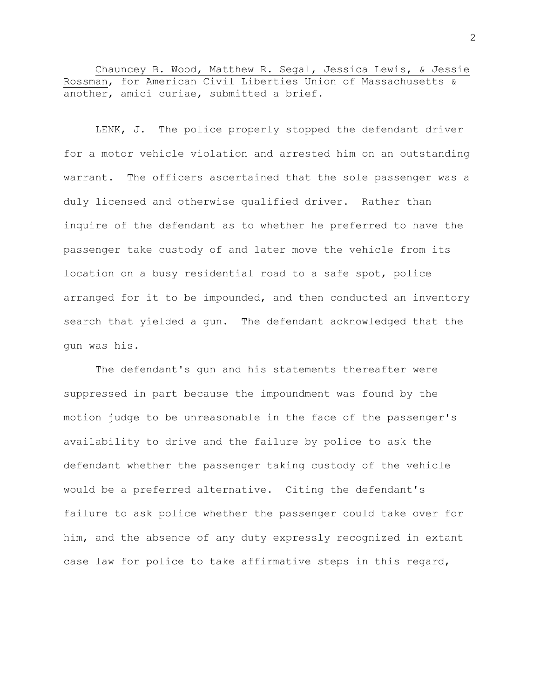Chauncey B. Wood, Matthew R. Segal, Jessica Lewis, & Jessie Rossman, for American Civil Liberties Union of Massachusetts & another, amici curiae, submitted a brief.

LENK, J. The police properly stopped the defendant driver for a motor vehicle violation and arrested him on an outstanding warrant. The officers ascertained that the sole passenger was a duly licensed and otherwise qualified driver. Rather than inquire of the defendant as to whether he preferred to have the passenger take custody of and later move the vehicle from its location on a busy residential road to a safe spot, police arranged for it to be impounded, and then conducted an inventory search that yielded a gun. The defendant acknowledged that the gun was his.

The defendant's gun and his statements thereafter were suppressed in part because the impoundment was found by the motion judge to be unreasonable in the face of the passenger's availability to drive and the failure by police to ask the defendant whether the passenger taking custody of the vehicle would be a preferred alternative. Citing the defendant's failure to ask police whether the passenger could take over for him, and the absence of any duty expressly recognized in extant case law for police to take affirmative steps in this regard,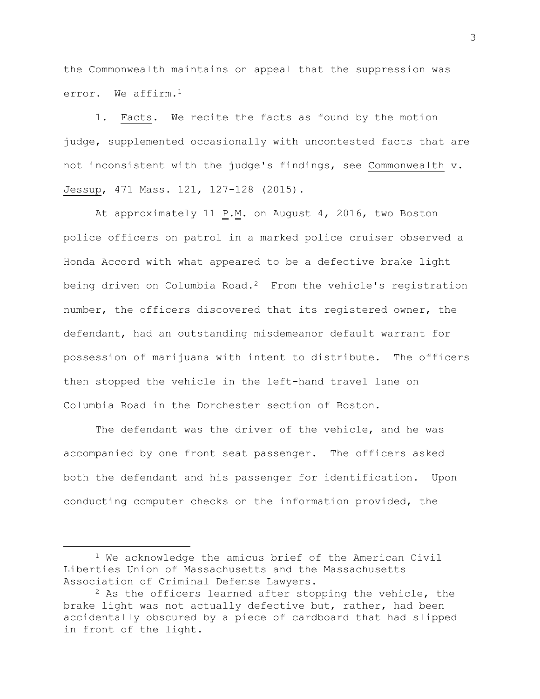the Commonwealth maintains on appeal that the suppression was error. We affirm.<sup>1</sup>

1. Facts. We recite the facts as found by the motion judge, supplemented occasionally with uncontested facts that are not inconsistent with the judge's findings, see Commonwealth v. Jessup, 471 Mass. 121, 127-128 (2015).

At approximately 11  $\underline{P.M.}$  on August 4, 2016, two Boston police officers on patrol in a marked police cruiser observed a Honda Accord with what appeared to be a defective brake light being driven on Columbia Road.<sup>2</sup> From the vehicle's registration number, the officers discovered that its registered owner, the defendant, had an outstanding misdemeanor default warrant for possession of marijuana with intent to distribute. The officers then stopped the vehicle in the left-hand travel lane on Columbia Road in the Dorchester section of Boston.

The defendant was the driver of the vehicle, and he was accompanied by one front seat passenger. The officers asked both the defendant and his passenger for identification. Upon conducting computer checks on the information provided, the

<sup>1</sup> We acknowledge the amicus brief of the American Civil Liberties Union of Massachusetts and the Massachusetts Association of Criminal Defense Lawyers.

 $2$  As the officers learned after stopping the vehicle, the brake light was not actually defective but, rather, had been accidentally obscured by a piece of cardboard that had slipped in front of the light.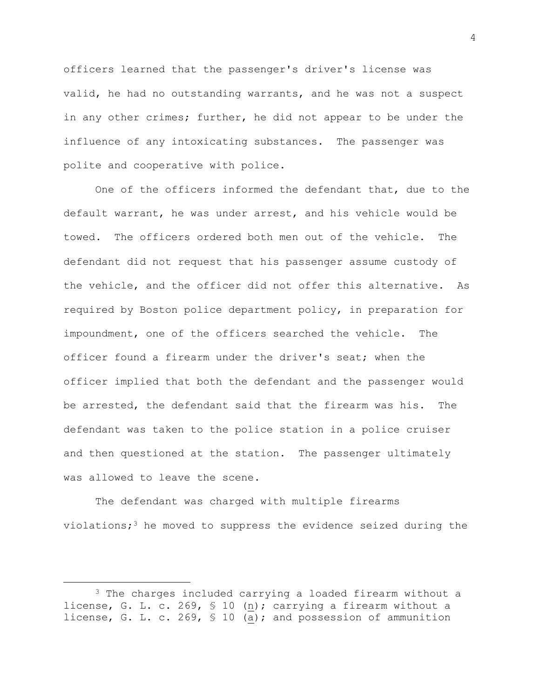officers learned that the passenger's driver's license was valid, he had no outstanding warrants, and he was not a suspect in any other crimes; further, he did not appear to be under the influence of any intoxicating substances. The passenger was polite and cooperative with police.

One of the officers informed the defendant that, due to the default warrant, he was under arrest, and his vehicle would be towed**.** The officers ordered both men out of the vehicle. The defendant did not request that his passenger assume custody of the vehicle, and the officer did not offer this alternative. As required by Boston police department policy, in preparation for impoundment, one of the officers searched the vehicle. The officer found a firearm under the driver's seat; when the officer implied that both the defendant and the passenger would be arrested, the defendant said that the firearm was his. The defendant was taken to the police station in a police cruiser and then questioned at the station**.** The passenger ultimately was allowed to leave the scene.

The defendant was charged with multiple firearms violations;<sup>3</sup> he moved to suppress the evidence seized during the

<sup>&</sup>lt;sup>3</sup> The charges included carrying a loaded firearm without a license, G. L. c. 269, § 10 (n); carrying a firearm without a license, G. L. c. 269, § 10 (a); and possession of ammunition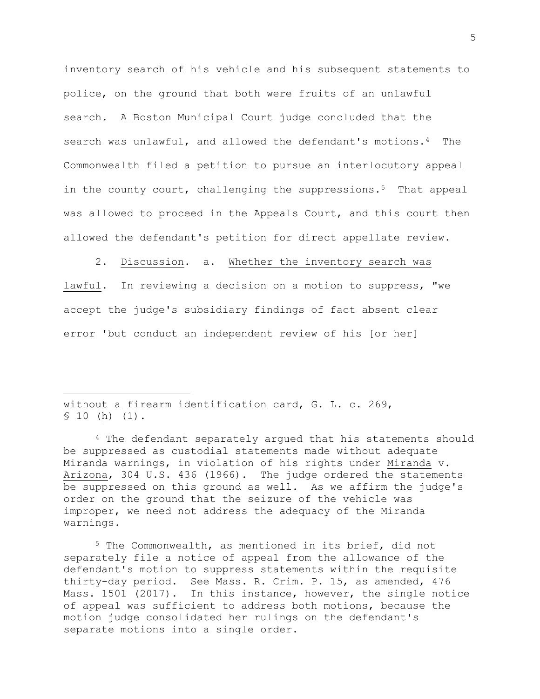inventory search of his vehicle and his subsequent statements to police, on the ground that both were fruits of an unlawful search. A Boston Municipal Court judge concluded that the search was unlawful, and allowed the defendant's motions.4 The Commonwealth filed a petition to pursue an interlocutory appeal in the county court, challenging the suppressions.<sup>5</sup> That appeal was allowed to proceed in the Appeals Court, and this court then allowed the defendant's petition for direct appellate review.

2. Discussion. a. Whether the inventory search was lawful. In reviewing a decision on a motion to suppress, "we accept the judge's subsidiary findings of fact absent clear error 'but conduct an independent review of his [or her]

without a firearm identification card, G. L. c. 269, § 10 (h) (1)**.**

L,

<sup>4</sup> The defendant separately argued that his statements should be suppressed as custodial statements made without adequate Miranda warnings, in violation of his rights under Miranda v. Arizona, 304 U.S. 436 (1966). The judge ordered the statements be suppressed on this ground as well. As we affirm the judge's order on the ground that the seizure of the vehicle was improper, we need not address the adequacy of the Miranda warnings.

<sup>5</sup> The Commonwealth, as mentioned in its brief, did not separately file a notice of appeal from the allowance of the defendant's motion to suppress statements within the requisite thirty-day period. See Mass. R. Crim. P. 15, as amended, 476 Mass. 1501 (2017). In this instance, however, the single notice of appeal was sufficient to address both motions, because the motion judge consolidated her rulings on the defendant's separate motions into a single order.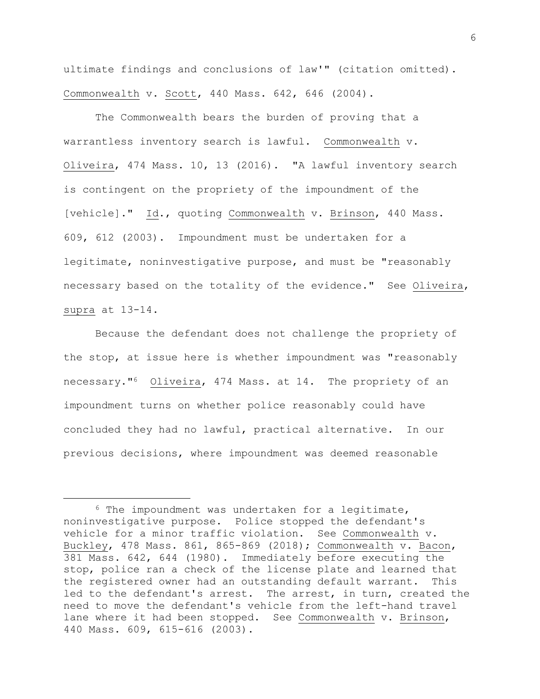ultimate findings and conclusions of law'" (citation omitted). Commonwealth v. Scott, 440 Mass. 642, 646 (2004).

The Commonwealth bears the burden of proving that a warrantless inventory search is lawful. Commonwealth v. Oliveira, 474 Mass. 10, 13 (2016). "A lawful inventory search is contingent on the propriety of the impoundment of the [vehicle]." Id., quoting Commonwealth v. Brinson, 440 Mass. 609, 612 (2003). Impoundment must be undertaken for a legitimate, noninvestigative purpose, and must be "reasonably necessary based on the totality of the evidence." See Oliveira, supra at 13-14.

Because the defendant does not challenge the propriety of the stop, at issue here is whether impoundment was "reasonably necessary."6 Oliveira, 474 Mass. at 14. The propriety of an impoundment turns on whether police reasonably could have concluded they had no lawful, practical alternative. In our previous decisions, where impoundment was deemed reasonable

<sup>6</sup> The impoundment was undertaken for a legitimate, noninvestigative purpose. Police stopped the defendant's vehicle for a minor traffic violation. See Commonwealth v. Buckley, 478 Mass. 861, 865-869 (2018); Commonwealth v. Bacon, 381 Mass. 642, 644 (1980). Immediately before executing the stop, police ran a check of the license plate and learned that the registered owner had an outstanding default warrant. This led to the defendant's arrest. The arrest, in turn, created the need to move the defendant's vehicle from the left-hand travel lane where it had been stopped. See Commonwealth v. Brinson, 440 Mass. 609, 615-616 (2003).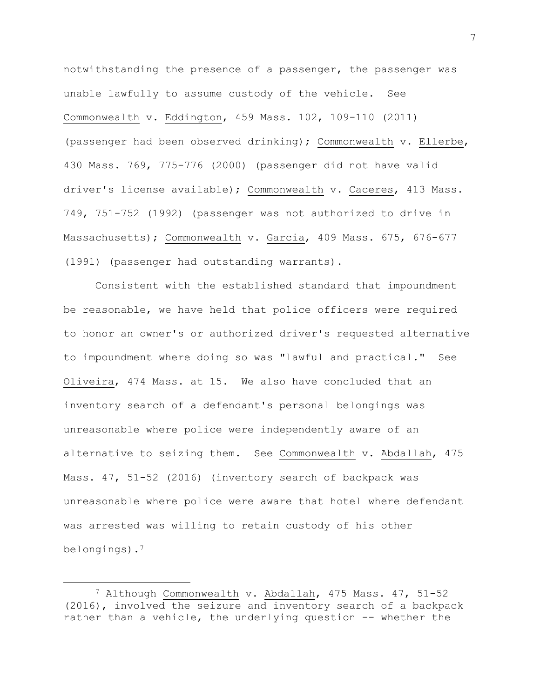notwithstanding the presence of a passenger, the passenger was unable lawfully to assume custody of the vehicle. See Commonwealth v. Eddington, 459 Mass. 102, 109-110 (2011) (passenger had been observed drinking); Commonwealth v. Ellerbe, 430 Mass. 769, 775-776 (2000) (passenger did not have valid driver's license available); Commonwealth v. Caceres, 413 Mass. 749, 751-752 (1992) (passenger was not authorized to drive in Massachusetts); Commonwealth v. Garcia, 409 Mass. 675, 676-677 (1991) (passenger had outstanding warrants).

Consistent with the established standard that impoundment be reasonable, we have held that police officers were required to honor an owner's or authorized driver's requested alternative to impoundment where doing so was "lawful and practical." See Oliveira, 474 Mass. at 15. We also have concluded that an inventory search of a defendant's personal belongings was unreasonable where police were independently aware of an alternative to seizing them. See Commonwealth v. Abdallah, 475 Mass. 47, 51-52 (2016) (inventory search of backpack was unreasonable where police were aware that hotel where defendant was arrested was willing to retain custody of his other belongings).<sup>7</sup>

<sup>7</sup> Although Commonwealth v. Abdallah, 475 Mass. 47, 51-52 (2016), involved the seizure and inventory search of a backpack rather than a vehicle, the underlying question -- whether the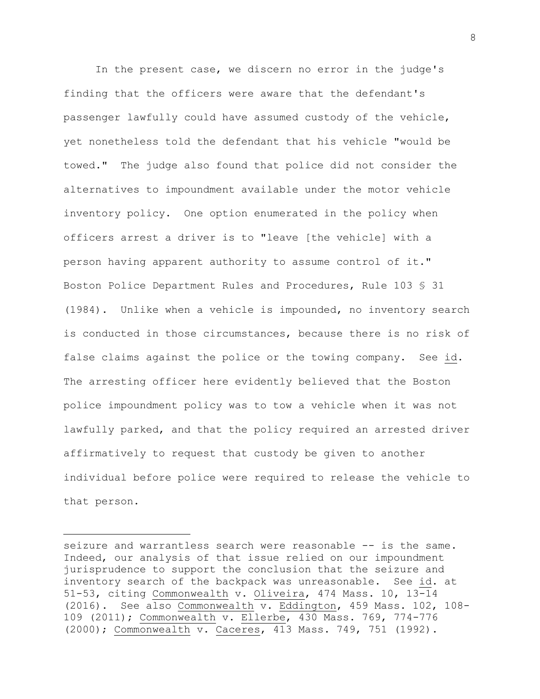In the present case, we discern no error in the judge's finding that the officers were aware that the defendant's passenger lawfully could have assumed custody of the vehicle, yet nonetheless told the defendant that his vehicle "would be towed." The judge also found that police did not consider the alternatives to impoundment available under the motor vehicle inventory policy. One option enumerated in the policy when officers arrest a driver is to "leave [the vehicle] with a person having apparent authority to assume control of it." Boston Police Department Rules and Procedures, Rule 103 § 31 (1984). Unlike when a vehicle is impounded, no inventory search is conducted in those circumstances, because there is no risk of false claims against the police or the towing company. See id. The arresting officer here evidently believed that the Boston police impoundment policy was to tow a vehicle when it was not lawfully parked, and that the policy required an arrested driver affirmatively to request that custody be given to another individual before police were required to release the vehicle to that person.

seizure and warrantless search were reasonable -- is the same. Indeed, our analysis of that issue relied on our impoundment jurisprudence to support the conclusion that the seizure and inventory search of the backpack was unreasonable. See id. at 51-53, citing Commonwealth v. Oliveira, 474 Mass. 10, 13-14 (2016). See also Commonwealth v. Eddington, 459 Mass. 102, 108- 109 (2011); Commonwealth v. Ellerbe, 430 Mass. 769, 774-776 (2000); Commonwealth v. Caceres, 413 Mass. 749, 751 (1992).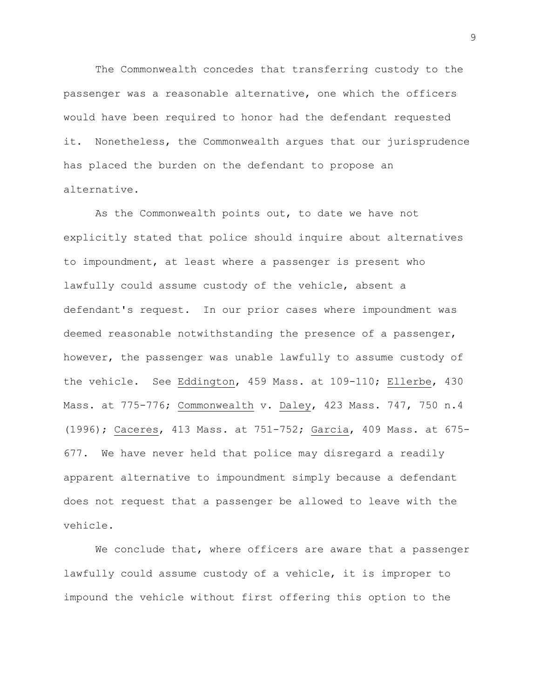The Commonwealth concedes that transferring custody to the passenger was a reasonable alternative, one which the officers would have been required to honor had the defendant requested it. Nonetheless, the Commonwealth argues that our jurisprudence has placed the burden on the defendant to propose an alternative.

As the Commonwealth points out, to date we have not explicitly stated that police should inquire about alternatives to impoundment, at least where a passenger is present who lawfully could assume custody of the vehicle, absent a defendant's request. In our prior cases where impoundment was deemed reasonable notwithstanding the presence of a passenger, however, the passenger was unable lawfully to assume custody of the vehicle. See Eddington, 459 Mass. at 109-110; Ellerbe, 430 Mass. at 775-776; Commonwealth v. Daley, 423 Mass. 747, 750 n.4 (1996); Caceres, 413 Mass. at 751-752; Garcia, 409 Mass. at 675- 677. We have never held that police may disregard a readily apparent alternative to impoundment simply because a defendant does not request that a passenger be allowed to leave with the vehicle.

We conclude that, where officers are aware that a passenger lawfully could assume custody of a vehicle, it is improper to impound the vehicle without first offering this option to the

9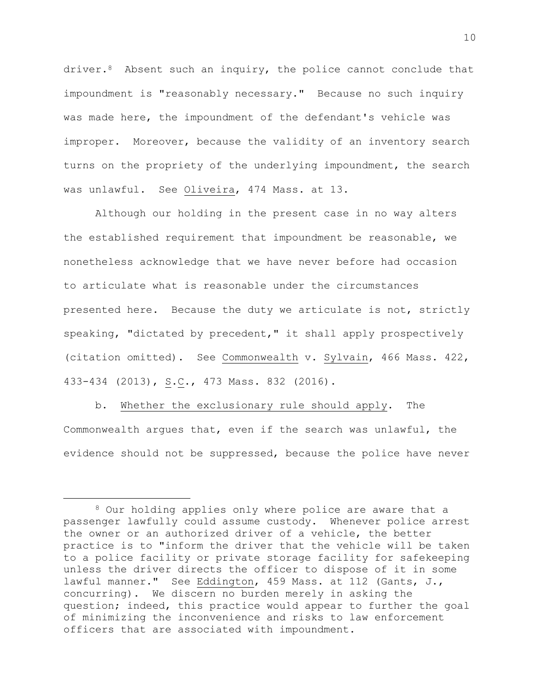driver.<sup>8</sup> Absent such an inquiry, the police cannot conclude that impoundment is "reasonably necessary." Because no such inquiry was made here, the impoundment of the defendant's vehicle was improper. Moreover, because the validity of an inventory search turns on the propriety of the underlying impoundment, the search was unlawful. See Oliveira, 474 Mass. at 13.

Although our holding in the present case in no way alters the established requirement that impoundment be reasonable, we nonetheless acknowledge that we have never before had occasion to articulate what is reasonable under the circumstances presented here. Because the duty we articulate is not, strictly speaking, "dictated by precedent," it shall apply prospectively (citation omitted). See Commonwealth v. Sylvain, 466 Mass. 422, 433-434 (2013), S.C., 473 Mass. 832 (2016).

b. Whether the exclusionary rule should apply. The Commonwealth argues that, even if the search was unlawful, the evidence should not be suppressed, because the police have never

<sup>8</sup> Our holding applies only where police are aware that a passenger lawfully could assume custody. Whenever police arrest the owner or an authorized driver of a vehicle, the better practice is to "inform the driver that the vehicle will be taken to a police facility or private storage facility for safekeeping unless the driver directs the officer to dispose of it in some lawful manner." See Eddington, 459 Mass. at 112 (Gants, J., concurring). We discern no burden merely in asking the question; indeed, this practice would appear to further the goal of minimizing the inconvenience and risks to law enforcement officers that are associated with impoundment.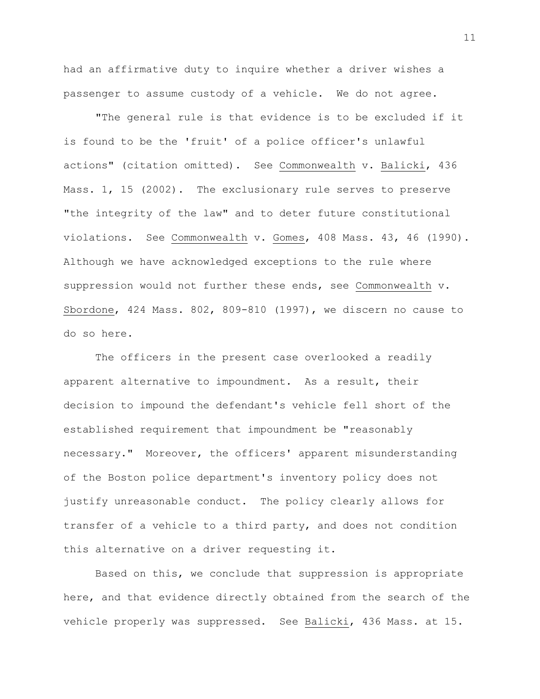had an affirmative duty to inquire whether a driver wishes a passenger to assume custody of a vehicle. We do not agree.

"The general rule is that evidence is to be excluded if it is found to be the 'fruit' of a police officer's unlawful actions" (citation omitted). See Commonwealth v. Balicki, 436 Mass. 1, 15 (2002). The exclusionary rule serves to preserve "the integrity of the law" and to deter future constitutional violations. See Commonwealth v. Gomes, 408 Mass. 43, 46 (1990). Although we have acknowledged exceptions to the rule where suppression would not further these ends, see Commonwealth v. Sbordone, 424 Mass. 802, 809-810 (1997), we discern no cause to do so here.

The officers in the present case overlooked a readily apparent alternative to impoundment. As a result, their decision to impound the defendant's vehicle fell short of the established requirement that impoundment be "reasonably necessary." Moreover, the officers' apparent misunderstanding of the Boston police department's inventory policy does not justify unreasonable conduct. The policy clearly allows for transfer of a vehicle to a third party, and does not condition this alternative on a driver requesting it.

Based on this, we conclude that suppression is appropriate here, and that evidence directly obtained from the search of the vehicle properly was suppressed. See Balicki, 436 Mass. at 15.

11